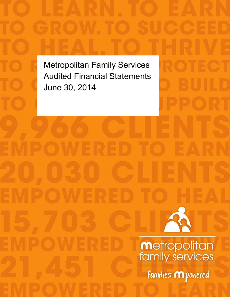families **m** powered **EMPOWERED TO LEARN 9,966 CLIENTS 15,703 CLIENTS Metropolitan**<br>family services **EMPOWERED TO HEAL TO HEAL. TO THRIVE TO R**Metropolitan Family Services<br>Audited Financial Statements **TO C** June 30, 2014 TO GUIDE DEPORT Audited Financial Statements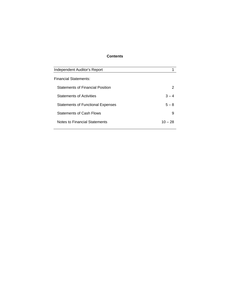# **Contents**

| Independent Auditor's Report             |         |
|------------------------------------------|---------|
| <b>Financial Statements:</b>             |         |
| <b>Statements of Financial Position</b>  | 2       |
| <b>Statements of Activities</b>          | $3 - 4$ |
| <b>Statements of Functional Expenses</b> | $5 - 8$ |
| <b>Statements of Cash Flows</b>          | 9       |
| Notes to Financial Statements            | 10 – 28 |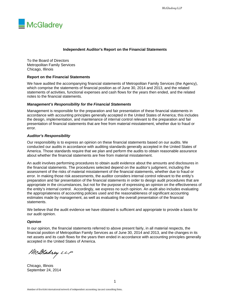

#### **Independent Auditor's Report on the Financial Statements**

To the Board of Directors Metropolitan Family Services Chicago, Illinois

#### **Report on the Financial Statements**

We have audited the accompanying financial statements of Metropolitan Family Services (the Agency), which comprise the statements of financial position as of June 30, 2014 and 2013, and the related statements of activities, functional expenses and cash flows for the years then ended, and the related notes to the financial statements.

#### *Management's Responsibility for the Financial Statements*

Management is responsible for the preparation and fair presentation of these financial statements in accordance with accounting principles generally accepted in the United States of America; this includes the design, implementation, and maintenance of internal control relevant to the preparation and fair presentation of financial statements that are free from material misstatement, whether due to fraud or error.

#### *Auditor's Responsibility*

Our responsibility is to express an opinion on these financial statements based on our audits. We conducted our audits in accordance with auditing standards generally accepted in the United States of America. Those standards require that we plan and perform the audits to obtain reasonable assurance about whether the financial statements are free from material misstatement.

An audit involves performing procedures to obtain audit evidence about the amounts and disclosures in the financial statements. The procedures selected depend on the auditor's judgment, including the assessment of the risks of material misstatement of the financial statements, whether due to fraud or error. In making those risk assessments, the auditor considers internal control relevant to the entity's preparation and fair presentation of the financial statements in order to design audit procedures that are appropriate in the circumstances, but not for the purpose of expressing an opinion on the effectiveness of the entity's internal control. Accordingly, we express no such opinion. An audit also includes evaluating the appropriateness of accounting policies used and the reasonableness of significant accounting estimates made by management, as well as evaluating the overall presentation of the financial statements.

We believe that the audit evidence we have obtained is sufficient and appropriate to provide a basis for our audit opinion.

#### *Opinion*

In our opinion, the financial statements referred to above present fairly, in all material respects, the financial position of Metropolitan Family Services as of June 30, 2014 and 2013, and the changes in its net assets and its cash flows for the years then ended in accordance with accounting principles generally accepted in the United States of America.

McGladrey LLP

Chicago, Illinois September 24, 2014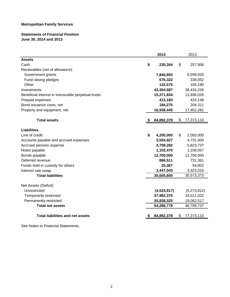# **Statements of Financial Position June 30, 2014 and 2013**

| <b>Assets</b><br>Cash<br>\$<br>230,264<br>\$<br>257,956<br>Receivables (net of allowance):<br>Government grants<br>7,840,893<br>6,599,920<br>Fund raising pledges<br>576,322<br>339,052<br>Other<br>132,575<br>165,190<br>43,304,587<br>38,434,226<br>Investments<br>15,271,834<br>13,496,026<br>Beneficial interest in irrevocable perpetual trusts<br>413,183<br>424,148<br>Prepaid expenses<br>Bond issuance costs, net<br>184,275<br>204,311<br>Property and equipment, net<br>16,938,445<br>17,452,281<br><b>Total assets</b><br>84,892,378<br>77,373,110<br>\$<br><b>Liabilities</b><br>Line of credit<br>\$<br>4,200,000<br>\$<br>2,050,000<br>Accounts payable and accrued expenses<br>3,554,927<br>4,731,400<br>4,709,282<br>Accrued pension expense<br>5,823,737<br>Notes payable<br>1,102,470<br>1,159,057<br>Bonds payable<br>12,700,000<br>12,700,000<br>866,511<br>Deferred revenue<br>731,361<br>25,367<br>54,802<br>Funds held in custody for others<br>3,323,016<br>3,447,043<br>Interest rate swap<br><b>Total liabilities</b><br>30,605,600<br>30,573,373<br>Net Assets (Deficit)<br>Unrestricted<br>(4, 533, 917)<br>(5,273,812)<br>Temporarily restricted<br>37,982,370<br>33,011,032<br>Permanently restricted<br>20,838,325<br>19,062,517<br><b>Total net assets</b><br>54,286,778<br>46,799,737<br><b>Total liabilities and net assets</b><br>84,892,378<br>77,373,110<br>\$ |  | 2014 | 2013 |
|------------------------------------------------------------------------------------------------------------------------------------------------------------------------------------------------------------------------------------------------------------------------------------------------------------------------------------------------------------------------------------------------------------------------------------------------------------------------------------------------------------------------------------------------------------------------------------------------------------------------------------------------------------------------------------------------------------------------------------------------------------------------------------------------------------------------------------------------------------------------------------------------------------------------------------------------------------------------------------------------------------------------------------------------------------------------------------------------------------------------------------------------------------------------------------------------------------------------------------------------------------------------------------------------------------------------------------------------------------------------------------------------------|--|------|------|
|                                                                                                                                                                                                                                                                                                                                                                                                                                                                                                                                                                                                                                                                                                                                                                                                                                                                                                                                                                                                                                                                                                                                                                                                                                                                                                                                                                                                      |  |      |      |
|                                                                                                                                                                                                                                                                                                                                                                                                                                                                                                                                                                                                                                                                                                                                                                                                                                                                                                                                                                                                                                                                                                                                                                                                                                                                                                                                                                                                      |  |      |      |
|                                                                                                                                                                                                                                                                                                                                                                                                                                                                                                                                                                                                                                                                                                                                                                                                                                                                                                                                                                                                                                                                                                                                                                                                                                                                                                                                                                                                      |  |      |      |
|                                                                                                                                                                                                                                                                                                                                                                                                                                                                                                                                                                                                                                                                                                                                                                                                                                                                                                                                                                                                                                                                                                                                                                                                                                                                                                                                                                                                      |  |      |      |
|                                                                                                                                                                                                                                                                                                                                                                                                                                                                                                                                                                                                                                                                                                                                                                                                                                                                                                                                                                                                                                                                                                                                                                                                                                                                                                                                                                                                      |  |      |      |
|                                                                                                                                                                                                                                                                                                                                                                                                                                                                                                                                                                                                                                                                                                                                                                                                                                                                                                                                                                                                                                                                                                                                                                                                                                                                                                                                                                                                      |  |      |      |
|                                                                                                                                                                                                                                                                                                                                                                                                                                                                                                                                                                                                                                                                                                                                                                                                                                                                                                                                                                                                                                                                                                                                                                                                                                                                                                                                                                                                      |  |      |      |
|                                                                                                                                                                                                                                                                                                                                                                                                                                                                                                                                                                                                                                                                                                                                                                                                                                                                                                                                                                                                                                                                                                                                                                                                                                                                                                                                                                                                      |  |      |      |
|                                                                                                                                                                                                                                                                                                                                                                                                                                                                                                                                                                                                                                                                                                                                                                                                                                                                                                                                                                                                                                                                                                                                                                                                                                                                                                                                                                                                      |  |      |      |
|                                                                                                                                                                                                                                                                                                                                                                                                                                                                                                                                                                                                                                                                                                                                                                                                                                                                                                                                                                                                                                                                                                                                                                                                                                                                                                                                                                                                      |  |      |      |
|                                                                                                                                                                                                                                                                                                                                                                                                                                                                                                                                                                                                                                                                                                                                                                                                                                                                                                                                                                                                                                                                                                                                                                                                                                                                                                                                                                                                      |  |      |      |
|                                                                                                                                                                                                                                                                                                                                                                                                                                                                                                                                                                                                                                                                                                                                                                                                                                                                                                                                                                                                                                                                                                                                                                                                                                                                                                                                                                                                      |  |      |      |
|                                                                                                                                                                                                                                                                                                                                                                                                                                                                                                                                                                                                                                                                                                                                                                                                                                                                                                                                                                                                                                                                                                                                                                                                                                                                                                                                                                                                      |  |      |      |
|                                                                                                                                                                                                                                                                                                                                                                                                                                                                                                                                                                                                                                                                                                                                                                                                                                                                                                                                                                                                                                                                                                                                                                                                                                                                                                                                                                                                      |  |      |      |
|                                                                                                                                                                                                                                                                                                                                                                                                                                                                                                                                                                                                                                                                                                                                                                                                                                                                                                                                                                                                                                                                                                                                                                                                                                                                                                                                                                                                      |  |      |      |
|                                                                                                                                                                                                                                                                                                                                                                                                                                                                                                                                                                                                                                                                                                                                                                                                                                                                                                                                                                                                                                                                                                                                                                                                                                                                                                                                                                                                      |  |      |      |
|                                                                                                                                                                                                                                                                                                                                                                                                                                                                                                                                                                                                                                                                                                                                                                                                                                                                                                                                                                                                                                                                                                                                                                                                                                                                                                                                                                                                      |  |      |      |
|                                                                                                                                                                                                                                                                                                                                                                                                                                                                                                                                                                                                                                                                                                                                                                                                                                                                                                                                                                                                                                                                                                                                                                                                                                                                                                                                                                                                      |  |      |      |
|                                                                                                                                                                                                                                                                                                                                                                                                                                                                                                                                                                                                                                                                                                                                                                                                                                                                                                                                                                                                                                                                                                                                                                                                                                                                                                                                                                                                      |  |      |      |
|                                                                                                                                                                                                                                                                                                                                                                                                                                                                                                                                                                                                                                                                                                                                                                                                                                                                                                                                                                                                                                                                                                                                                                                                                                                                                                                                                                                                      |  |      |      |
|                                                                                                                                                                                                                                                                                                                                                                                                                                                                                                                                                                                                                                                                                                                                                                                                                                                                                                                                                                                                                                                                                                                                                                                                                                                                                                                                                                                                      |  |      |      |
|                                                                                                                                                                                                                                                                                                                                                                                                                                                                                                                                                                                                                                                                                                                                                                                                                                                                                                                                                                                                                                                                                                                                                                                                                                                                                                                                                                                                      |  |      |      |
|                                                                                                                                                                                                                                                                                                                                                                                                                                                                                                                                                                                                                                                                                                                                                                                                                                                                                                                                                                                                                                                                                                                                                                                                                                                                                                                                                                                                      |  |      |      |
|                                                                                                                                                                                                                                                                                                                                                                                                                                                                                                                                                                                                                                                                                                                                                                                                                                                                                                                                                                                                                                                                                                                                                                                                                                                                                                                                                                                                      |  |      |      |
|                                                                                                                                                                                                                                                                                                                                                                                                                                                                                                                                                                                                                                                                                                                                                                                                                                                                                                                                                                                                                                                                                                                                                                                                                                                                                                                                                                                                      |  |      |      |
|                                                                                                                                                                                                                                                                                                                                                                                                                                                                                                                                                                                                                                                                                                                                                                                                                                                                                                                                                                                                                                                                                                                                                                                                                                                                                                                                                                                                      |  |      |      |
|                                                                                                                                                                                                                                                                                                                                                                                                                                                                                                                                                                                                                                                                                                                                                                                                                                                                                                                                                                                                                                                                                                                                                                                                                                                                                                                                                                                                      |  |      |      |
|                                                                                                                                                                                                                                                                                                                                                                                                                                                                                                                                                                                                                                                                                                                                                                                                                                                                                                                                                                                                                                                                                                                                                                                                                                                                                                                                                                                                      |  |      |      |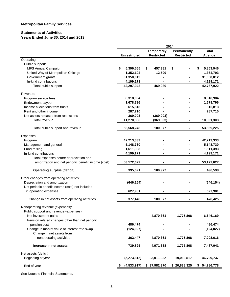# **Statements of Activities Years Ended June 30, 2014 and 2013**

|                                                     |                     |                    | 2014              |                |
|-----------------------------------------------------|---------------------|--------------------|-------------------|----------------|
|                                                     |                     | <b>Temporarily</b> | Permanently       | <b>Total</b>   |
|                                                     | <b>Unrestricted</b> | <b>Restricted</b>  | <b>Restricted</b> | Agency         |
| Operating:                                          |                     |                    |                   |                |
| Public support:                                     |                     |                    |                   |                |
| MFS Annual Campaign                                 | \$<br>5,396,565     | \$<br>457,381      | \$                | 5,853,946<br>S |
| United Way of Metropolitan Chicago                  | 1,352,194           | 12,599             |                   | 1,364,793      |
| Government grants                                   | 31,350,012          |                    |                   | 31,350,012     |
| In-kind contributions                               | 4,199,171           |                    |                   | 4,199,171      |
| Total public support                                | 42,297,942          | 469,980            | $\blacksquare$    | 42,767,922     |
| Revenue:                                            |                     |                    |                   |                |
| Program service fees                                | 8,318,984           |                    |                   | 8,318,984      |
| Endowment payout                                    | 1,678,796           |                    |                   | 1,678,796      |
| Income allocations from trusts                      | 615,813             |                    |                   | 615,813        |
| Rent and other income                               | 287,710             |                    |                   | 287,710        |
| Net assets released from restrictions               | 369,003             | (369,003)          |                   |                |
| Total revenue                                       | 11,270,306          | (369,003)          | $\blacksquare$    | 10,901,303     |
| Total public support and revenue                    | 53,568,248          | 100,977            |                   | 53,669,225     |
| Expenses:                                           |                     |                    |                   |                |
| Program                                             | 42,213,333          |                    |                   | 42,213,333     |
| Management and general                              | 5,148,730           |                    |                   | 5,148,730      |
| Fund raising                                        | 1,611,393           |                    |                   | 1,611,393      |
| In-kind contributions                               | 4,199,171           |                    |                   | 4,199,171      |
| Total expenses before depreciation and              |                     |                    |                   |                |
| amortization and net periodic benefit income (cost) | 53,172,627          |                    |                   | 53, 172, 627   |
| <b>Operating surplus (deficit)</b>                  | 395,621             | 100,977            |                   | 496,598        |
| Other changes from operating activities:            |                     |                    |                   |                |
| Depreciation and amortization                       | (646, 154)          |                    |                   | (646, 154)     |
| Net periodic benefit income (cost) not included     |                     |                    |                   |                |
| in operating expenses                               | 627,981             |                    |                   | 627,981        |
|                                                     |                     |                    |                   |                |
| Change in net assets from operating activities      | 377,448             | 100,977            |                   | 478,425        |
| Nonoperating revenue (expenses):                    |                     |                    |                   |                |
| Public support and revenue (expenses):              |                     |                    |                   |                |
| Net investment gains                                |                     | 4,870,361          | 1,775,808         | 6,646,169      |
| Pension related changes other than net periodic     |                     |                    |                   |                |
| pension cost                                        | 486,474             |                    |                   | 486,474        |
| Change in market value of interest rate swap        | (124,027)           |                    |                   | (124, 027)     |
| Change in net assets from                           |                     |                    |                   |                |
| nonoperating activities                             | 362,447             | 4,870,361          | 1,775,808         | 7,008,616      |
| Increase in net assets                              | 739,895             | 4,971,338          | 1,775,808         | 7,487,041      |
| Net assets (deficit):                               |                     |                    |                   |                |
| Beginning of year                                   | (5,273,812)         | 33,011,032         | 19,062,517        | 46,799,737     |
| End of year                                         | (4,533,917)         | \$37,982,370       | \$20,838,325      | \$54,286,778   |
| See Notes to Financial Statements.                  |                     |                    |                   |                |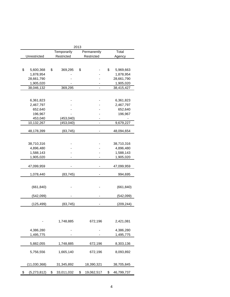|                   |                  | 2013 |                          |                  |
|-------------------|------------------|------|--------------------------|------------------|
|                   | Temporarily      |      | Permanently              | Total            |
| Unrestricted      | Restricted       |      | Restricted               | Agency           |
|                   |                  |      |                          |                  |
|                   |                  |      |                          |                  |
| \$<br>5,600,368   | \$<br>369,295    | \$   |                          | \$<br>5,969,663  |
| 1,878,954         |                  |      |                          | 1,878,954        |
| 28,661,790        |                  |      |                          | 28,661,790       |
| 1,905,020         |                  |      |                          | 1,905,020        |
| 38,046,132        | 369,295          |      |                          | 38,415,427       |
|                   |                  |      |                          |                  |
|                   |                  |      |                          |                  |
| 6,361,823         |                  |      |                          | 6,361,823        |
| 2,467,797         |                  |      |                          | 2,467,797        |
| 652,640           |                  |      |                          | 652,640          |
| 196,967           |                  |      |                          | 196,967          |
| 453,040           | (453, 040)       |      |                          |                  |
|                   |                  |      |                          |                  |
| 10,132,267        | (453,040)        |      | $\overline{\phantom{0}}$ | 9,679,227        |
| 48,178,399        | (83, 745)        |      |                          | 48,094,654       |
|                   |                  |      |                          |                  |
|                   |                  |      |                          |                  |
| 38,710,316        |                  |      |                          | 38,710,316       |
| 4,896,480         |                  |      |                          | 4,896,480        |
| 1,588,143         |                  |      |                          | 1,588,143        |
| 1,905,020         |                  |      |                          | 1,905,020        |
|                   |                  |      |                          |                  |
| 47,099,959        |                  |      |                          | 47,099,959       |
|                   |                  |      |                          |                  |
| 1,078,440         | (83, 745)        |      |                          | 994,695          |
|                   |                  |      |                          |                  |
|                   |                  |      |                          |                  |
| (661, 840)        |                  |      |                          | (661, 840)       |
|                   |                  |      |                          |                  |
| (542,099)         |                  |      |                          | (542,099)        |
|                   |                  |      |                          |                  |
| (125, 499)        | (83, 745)        |      |                          | (209, 244)       |
|                   |                  |      |                          |                  |
|                   |                  |      |                          |                  |
|                   |                  |      |                          |                  |
|                   | 1,748,885        |      | 672,196                  | 2,421,081        |
|                   |                  |      |                          |                  |
| 4,386,280         |                  |      |                          | 4,386,280        |
| 1,495,775         |                  |      |                          | 1,495,775        |
|                   |                  |      |                          |                  |
| 5,882,055         | 1,748,885        |      | 672,196                  | 8,303,136        |
|                   |                  |      |                          |                  |
| 5,756,556         | 1,665,140        |      | 672,196                  | 8,093,892        |
|                   |                  |      |                          |                  |
|                   |                  |      |                          |                  |
| (11,030,368)      | 31,345,892       |      | 18,390,321               | 38,705,845       |
|                   |                  |      |                          |                  |
| \$<br>(5,273,812) | \$<br>33,011,032 | \$   | 19,062,517               | \$<br>46,799,737 |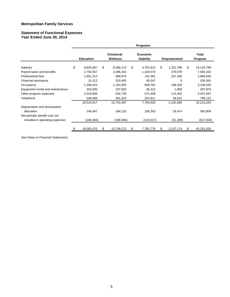#### **Statement of Functional Expenses Year Ended June 30, 2014**

|                                             | <b>Programs</b>  |    |                                     |    |                                     |    |                    |    |                  |  |
|---------------------------------------------|------------------|----|-------------------------------------|----|-------------------------------------|----|--------------------|----|------------------|--|
|                                             | <b>Education</b> |    | <b>Emotional</b><br><b>Wellness</b> |    | <b>Economic</b><br><b>Stability</b> |    | <b>Empowerment</b> |    | Total<br>Program |  |
|                                             |                  |    |                                     |    |                                     |    |                    |    |                  |  |
| <b>Salaries</b>                             | \$<br>9,820,087  | \$ | 8,289,113                           | \$ | 4,762,813                           | \$ | 1,252,786          | \$ | 24,124,799       |  |
| Payroll taxes and benefits                  | 2,703,557        |    | 2,496,310                           |    | 1,420,574                           |    | 379,879            |    | 7,000,320        |  |
| Professional fees                           | 1,951,312        |    | 568,674                             |    | 191,581                             |    | 157,268            |    | 2,868,835        |  |
| Financial assistance                        | 31,512           |    | 253,493                             |    | 49,347                              |    | 9                  |    | 334,361          |  |
| Occupancy                                   | 1,198,422        |    | 1,193,992                           |    | 658,782                             |    | 198,324            |    | 3,249,520        |  |
| Equipment rental and maintenance            | 252,005          |    | 107,652                             |    | 36,413                              |    | 1,809              |    | 397,879          |  |
| Other program expenses                      | 2,319,956        |    | 542,730                             |    | 471,409                             |    | 113,402            |    | 3,447,497        |  |
| Telephone                                   | 248,066          |    | 301,523                             |    | 203,911                             |    | 36,622             |    | 790,122          |  |
|                                             | 18,524,917       |    | 13,753,487                          |    | 7,794,830                           |    | 2,140,099          |    | 42,213,333       |  |
| Depreciation and amortization<br>allocation | 246,947          |    | 184,120                             |    | 106,263                             |    | 28,474             |    | 565,804          |  |
| Net periodic benefit cost not               |                  |    |                                     |    |                                     |    |                    |    |                  |  |
| included in operating expenses              | (188, 394)       |    | (188, 394)                          |    | (119, 317)                          |    | (31, 399)          |    | (527, 504)       |  |
|                                             | 18,583,470       | \$ | 13,749,213                          |    | 7,781,776                           | \$ | 2,137,174          | S  | 42,251,633       |  |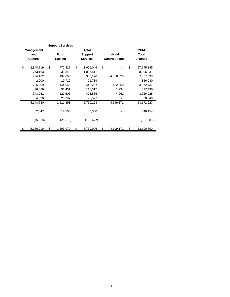|                   |    | <b>Support Services</b> |                 |                      |           |                  |
|-------------------|----|-------------------------|-----------------|----------------------|-----------|------------------|
| <b>Management</b> |    |                         | Total           |                      |           | 2014             |
| and               |    | <b>Fund</b>             | <b>Support</b>  |                      | In-Kind   | <b>Total</b>     |
| General           |    | Raising                 | <b>Services</b> | <b>Contributions</b> |           | Agency           |
|                   |    |                         |                 |                      |           |                  |
| \$<br>2,848,719   | \$ | 772,327                 | \$<br>3,621,046 | \$                   |           | \$<br>27,745,845 |
| 773,163           |    | 233,348                 | 1,006,511       |                      |           | 8,006,831        |
| 794,162           |    | 194,008                 | 988,170         |                      | 4,010,025 | 7,867,030        |
| 2,000             |    | 19,719                  | 21,719          |                      | 356,080   |                  |
| 295,309           |    | 144,958                 | 440,267         |                      | 182,950   | 3,872,737        |
| 26,886            |    | 91,431                  | 118,317         |                      | 1,234     | 517,430          |
| 343,961           |    | 129,605                 | 473,566         |                      | 4,962     | 3,926,025        |
| 64,530            |    | 25,997                  | 90,527          |                      |           | 880,649          |
| 5,148,730         |    | 1,611,393               | 6,760,123       |                      | 4,199,171 | 53,172,627       |
| 62,647            |    | 17,703                  | 80,350          |                      |           | 646,154          |
| (75, 358)         |    | (25, 119)               | (100, 477)      |                      |           | (627, 981)       |
| \$<br>5,136,019   | \$ | 1,603,977               | \$<br>6,739,996 | \$                   | 4,199,171 | \$<br>53,190,800 |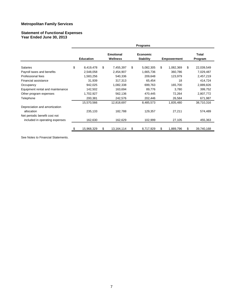#### **Statement of Functional Expenses Year Ended June 30, 2013**

|                                             |                  |    |                                     | <b>Programs</b>                     |                    |    |                  |
|---------------------------------------------|------------------|----|-------------------------------------|-------------------------------------|--------------------|----|------------------|
|                                             | <b>Education</b> |    | <b>Emotional</b><br><b>Wellness</b> | <b>Economic</b><br><b>Stability</b> | <b>Empowerment</b> |    | Total<br>Program |
| <b>Salaries</b>                             | \$<br>8,419,478  | \$ | 7,455,397                           | \$<br>5,082,305                     | \$<br>1,082,369    | \$ | 22,039,549       |
| Payroll taxes and benefits                  | 2,548,058        |    | 2,454,907                           | 1,665,736                           | 360,786            |    | 7,029,487        |
| Professional fees                           | 1,583,256        |    | 540,336                             | 209,648                             | 123,979            |    | 2,457,219        |
| Financial assistance                        | 31,939           |    | 317,313                             | 65,454                              | 18                 |    | 414,724          |
| Occupancy                                   | 942,025          |    | 1,082,338                           | 699,763                             | 165,700            |    | 2,889,826        |
| Equipment rental and maintenance            | 142,502          |    | 163,694                             | 89,776                              | 3,780              |    | 399,752          |
| Other program expenses                      | 1,702,927        |    | 562,136                             | 470,445                             | 72,264             |    | 2,807,772        |
| Telephone                                   | 200,381          |    | 242,576                             | 202,446                             | 26,584             |    | 671,987          |
|                                             | 15,570,566       |    | 12,818,697                          | 8,485,573                           | 1,835,480          |    | 38,710,316       |
| Depreciation and amortization<br>allocation | 235,133          |    | 182,788                             | 129,357                             | 27,211             |    | 574,489          |
| Net periodic benefit cost not               |                  |    |                                     |                                     |                    |    |                  |
| included in operating expenses              | 162,630          |    | 162,629                             | 102,999                             | 27,105             |    | 455,363          |
|                                             | 15,968,329       | S  | 13, 164, 114                        | 8,717,929                           | \$<br>1,889,796    | S  | 39,740,168       |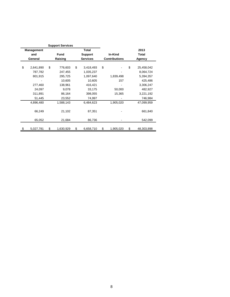|                   |    | <b>Support Services</b> |                 |    |                      |    |            |
|-------------------|----|-------------------------|-----------------|----|----------------------|----|------------|
| <b>Management</b> |    |                         | Total           |    |                      |    | 2013       |
| and               |    | <b>Fund</b>             | <b>Support</b>  |    | In-Kind              |    | Total      |
| General           |    | Raising                 | <b>Services</b> |    | <b>Contributions</b> |    | Agency     |
| \$                | \$ | 776,603                 | \$<br>3,418,493 | \$ |                      | \$ |            |
| 2,641,890         |    |                         |                 |    |                      |    | 25,458,042 |
| 787,782           |    | 247,455                 | 1,035,237       |    |                      |    | 8,064,724  |
| 801,915           |    | 295,725                 | 1,097,640       |    | 1,839,498            |    | 5,394,357  |
|                   |    | 10,605                  | 10,605          |    | 157                  |    | 425,486    |
| 277,460           |    | 138,961                 | 416,421         |    |                      |    | 3,306,247  |
| 24,097            |    | 9,078                   | 33,175          |    | 50,000               |    | 482,927    |
| 311,891           |    | 86,164                  | 398,055         |    | 15,365               |    | 3,221,192  |
| 51,445            |    | 23,552                  | 74,997          |    |                      |    | 746,984    |
| 4,896,480         |    | 1,588,143               | 6,484,623       |    | 1,905,020            |    | 47,099,959 |
| 66,249            |    | 21,102                  | 87,351          |    |                      |    | 661,840    |
| 65,052            |    | 21,684                  | 86,736          |    |                      |    | 542,099    |
| \$<br>5,027,781   | \$ | 1,630,929               | \$<br>6,658,710 | \$ | 1,905,020            | \$ | 48,303,898 |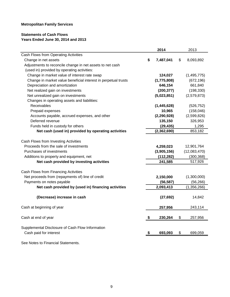# **Statements of Cash Flows Years Ended June 30, 2014 and 2013**

|                                                                |    | 2014          | 2013            |
|----------------------------------------------------------------|----|---------------|-----------------|
| Cash Flows from Operating Activities                           |    |               |                 |
| Change in net assets                                           | \$ | 7,487,041     | \$<br>8,093,892 |
| Adjustments to reconcile change in net assets to net cash      |    |               |                 |
| (used in) provided by operating activities:                    |    |               |                 |
| Change in market value of interest rate swap                   |    | 124,027       | (1,495,775)     |
| Change in market value beneficial interest in perpetual trusts |    | (1,775,808)   | (672, 196)      |
| Depreciation and amortization                                  |    | 646,154       | 661,840         |
| Net realized gain on investments                               |    | (200, 377)    | (198, 330)      |
| Net unrealized gain on investments                             |    | (5,023,851)   | (2,579,873)     |
| Changes in operating assets and liabilities:                   |    |               |                 |
| Receivables                                                    |    | (1,445,628)   | (526, 752)      |
| Prepaid expenses                                               |    | 10,965        | (158, 046)      |
| Accounts payable, accrued expenses, and other                  |    | (2, 290, 928) | (2,599,826)     |
| Deferred revenue                                               |    | 135,150       | 326,953         |
| Funds held in custody for others                               |    | (29, 435)     | 1,295           |
| Net cash (used in) provided by operating activities            |    | (2,362,690)   | 853,182         |
|                                                                |    |               |                 |
| Cash Flows from Investing Activities                           |    |               |                 |
| Proceeds from the sale of investments                          |    | 4,259,023     | 12,901,764      |
| Purchases of investments                                       |    | (3,905,156)   | (12,083,470)    |
| Additions to property and equipment, net                       |    | (112, 282)    | (300, 368)      |
| Net cash provided by investing activities                      |    | 241,585       | 517,926         |
| Cash Flows from Financing Activities                           |    |               |                 |
| Net proceeds from (repayments of) line of credit               |    | 2,150,000     | (1,300,000)     |
| Payments on notes payable                                      |    | (56, 587)     | (56, 266)       |
| Net cash provided by (used in) financing activities            |    | 2,093,413     | (1,356,266)     |
|                                                                |    |               |                 |
| (Decrease) increase in cash                                    |    | (27, 692)     | 14,842          |
| Cash at beginning of year                                      |    | 257,956       | 243,114         |
|                                                                |    |               |                 |
| Cash at end of year                                            | \$ | 230,264       | \$<br>257,956   |
| Supplemental Disclosure of Cash Flow Information               |    |               |                 |
| Cash paid for interest                                         | S  | 693,093       | \$<br>699,059   |
|                                                                |    |               |                 |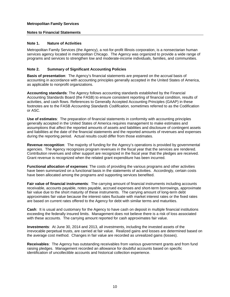# **Notes to Financial Statements**

### **Note 1. Nature of Activities**

Metropolitan Family Services (the Agency), a not-for-profit Illinois corporation, is a nonsectarian human services agency located in metropolitan Chicago. The Agency was organized to provide a wide range of programs and services to strengthen low and moderate-income individuals, families, and communities.

# **Note 2. Summary of Significant Accounting Policies**

**Basis of presentation**: The Agency's financial statements are prepared on the accrual basis of accounting in accordance with accounting principles generally accepted in the United States of America, as applicable to nonprofit organizations.

**Accounting standards**: The Agency follows accounting standards established by the Financial Accounting Standards Board (the FASB) to ensure consistent reporting of financial condition, results of activities, and cash flows. References to Generally Accepted Accounting Principles (GAAP) in these footnotes are to the FASB *Accounting Standards Codification,* sometimes referred to as the Codification or ASC.

**Use of estimates**: The preparation of financial statements in conformity with accounting principles generally accepted in the United States of America requires management to make estimates and assumptions that affect the reported amounts of assets and liabilities and disclosure of contingent assets and liabilities at the date of the financial statements and the reported amounts of revenues and expenses during the reporting period. Actual results could differ from those estimates.

**Revenue recognition**: The majority of funding for the Agency's operations is provided by governmental agencies. The Agency recognizes program revenues in the fiscal year that the services are rendered. Contribution revenues and other support are recognized in the fiscal year that the pledges are received. Grant revenue is recognized when the related grant expenditure has been incurred.

**Functional allocation of expenses**: The costs of providing the various programs and other activities have been summarized on a functional basis in the statements of activities. Accordingly, certain costs have been allocated among the programs and supporting services benefited.

**Fair value of financial instruments**: The carrying amount of financial instruments including accounts receivable, accounts payable, notes payable, accrued expenses and short-term borrowings, approximate fair value due to the short maturity of these instruments. The carrying amount of long-term debt approximates fair value because the interest rates fluctuate with market interest rates or the fixed rates are based on current rates offered to the Agency for debt with similar terms and maturities.

**Cash**: It is usual and customary for the Agency to have cash on deposit in multiple financial institutions exceeding the federally insured limits. Management does not believe there is a risk of loss associated with these accounts. The carrying amount reported for cash approximates fair value.

**Investments**: At June 30, 2014 and 2013, all investments, including the invested assets of the irrevocable perpetual trusts, are carried at fair value. Realized gains and losses are determined based on the average cost method. Changes in fair value are recorded as unrealized gains (losses).

**Receivables**: The Agency has outstanding receivables from various government grants and from fund raising pledges. Management recorded an allowance for doubtful accounts based on specific identification of uncollectible accounts and historical collection experience.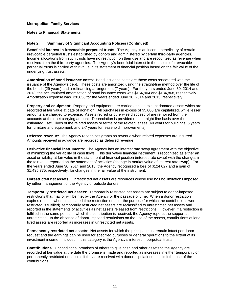#### **Notes to Financial Statements**

#### **Note 2. Summary of Significant Accounting Policies (Continued)**

**Beneficial interest in irrevocable perpetual trusts**: The Agency is an income beneficiary of certain irrevocable perpetual trusts established by donors and administered by certain third-party agencies. Income allocations from such trusts have no restriction on their use and are recognized as revenue when received from the third-party agencies. The Agency's beneficial interest in the assets of irrevocable perpetual trusts is carried at fair value in its statement of financial position based on the fair value of the underlying trust assets.

**Amortization of bond issuance costs**: Bond issuance costs are those costs associated with the issuance of the Agency's debt. These costs are amortized using the straight-line method over the life of the bonds (29 years) and a refinancing arrangement (7 years). For the years ended June 30, 2014 and 2013, the accumulated amortization of bond issuance costs was \$154,904 and \$134,868, respectively. Amortization expense was \$20,036 for the years ended June 30, 2014 and 2013, respectively.

**Property and equipment**: Property and equipment are carried at cost, except donated assets which are recorded at fair value at date of donation. All purchases in excess of \$5,000 are capitalized, while lesser amounts are charged to expense. Assets retired or otherwise disposed of are removed from the accounts at their net carrying amount. Depreciation is provided on a straight-line basis over the estimated useful lives of the related assets or terms of the related leases (40 years for buildings, 5 years for furniture and equipment, and 2-7 years for leasehold improvements).

**Deferred revenue**: The Agency recognizes grants as revenue when related expenses are incurred. Amounts received in advance are recorded as deferred revenue.

**Derivative financial instruments**: The Agency has an interest rate swap agreement with the objective of minimizing the variability of cash flows. This derivative financial instrument is recognized as either an asset or liability at fair value in the statement of financial position (interest rate swap) with the changes in the fair value reported on the statement of activities (change in market value of interest rate swap). For the years ended June 30, 2014 and 2013, the Agency recognized a loss of \$124,027 and a gain of \$1,495,775, respectively, for changes in the fair value of the instrument.

**Unrestricted net assets**: Unrestricted net assets are resources whose use has no limitations imposed by either management of the Agency or outside donors.

**Temporarily restricted net assets**: Temporarily restricted net assets are subject to donor-imposed restrictions that may or will be met by the Agency or the passage of time. When a donor restriction expires (that is, when a stipulated time restriction ends or the purpose for which the contributions were restricted is fulfilled), temporarily restricted net assets are reclassified to unrestricted net assets and reported in the statements of activities as net assets released from restrictions. However, if a restriction is fulfilled in the same period in which the contribution is received, the Agency reports the support as unrestricted. In the absence of donor-imposed restrictions on the use of the assets, contributions of longlived assets are reported as increases in unrestricted net assets.

**Permanently restricted net assets**: Net assets for which the principal must remain intact per donor request and the earnings can be used for specified purposes or general operations to the extent of its investment income. Included in this category is the Agency's interest in perpetual trusts.

**Contributions**: Unconditional promises of others to give cash and other assets to the Agency are recorded at fair value at the date the promise is made and reported as increases in either temporarily or permanently restricted net assets if they are received with donor stipulations that limit the use of the contributions.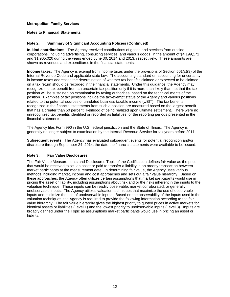# **Notes to Financial Statements**

# **Note 2. Summary of Significant Accounting Policies (Continued)**

**In-kind contributions**: The Agency received contributions of goods and services from outside corporations, including advertising, consulting services, and various goods, in the amount of \$4,199,171 and \$1,905,020 during the years ended June 30, 2014 and 2013, respectively. These amounts are shown as revenues and expenditures in the financial statements.

**Income taxes**: The Agency is exempt from income taxes under the provisions of Section 501(c)(3) of the Internal Revenue Code and applicable state law. The accounting standard on accounting for uncertainty in income taxes addresses the determination of whether tax benefits claimed or expected to be claimed on a tax return should be recorded in the financial statements. Under this guidance, the Agency may recognize the tax benefit from an uncertain tax position only if it is more than likely than not that the tax position will be sustained on examination by taxing authorities, based on the technical merits of the position. Examples of tax positions include the tax-exempt status of the Agency and various positions related to the potential sources of unrelated business taxable income (UBIT). The tax benefits recognized in the financial statements from such a position are measured based on the largest benefit that has a greater than 50 percent likelihood of being realized upon ultimate settlement. There were no unrecognized tax benefits identified or recorded as liabilities for the reporting periods presented in the financial statements.

The Agency files Form 990 in the U.S. federal jurisdiction and the State of Illinois. The Agency is generally no longer subject to examination by the Internal Revenue Service for tax years before 2011.

**Subsequent events**: The Agency has evaluated subsequent events for potential recognition and/or disclosure through September 24, 2014, the date the financial statements were available to be issued.

#### **Note 3. Fair Value Disclosures**

The Fair Value Measurements and Disclosures Topic of the Codification defines fair value as the price that would be received to sell an asset or paid to transfer a liability in an orderly transaction between market participants at the measurement date. In determining fair value, the Agency uses various methods including market, income and cost approaches and sets out a fair value hierarchy. Based on these approaches, the Agency often utilizes certain assumptions that market participants would use in pricing the asset or liability, including assumptions about risk and or the risks inherent in the inputs to the valuation technique. These inputs can be readily observable, market corroborated, or generally unobservable inputs. The Agency utilizes valuation techniques that maximize the use of observable inputs and minimize the use of unobservable inputs. Based on the observability of the inputs used in the valuation techniques, the Agency is required to provide the following information according to the fair value hierarchy. The fair value hierarchy gives the highest priority to quoted prices in active markets for identical assets or liabilities (Level 1) and the lowest priority to unobservable inputs (Level 3). Inputs are broadly defined under the Topic as assumptions market participants would use in pricing an asset or liability.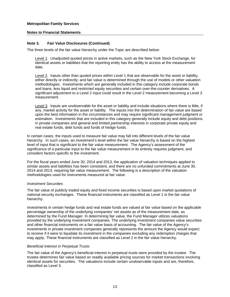#### **Notes to Financial Statements**

#### **Note 3. Fair Value Disclosures (Continued)**

The three levels of the fair value hierarchy under the Topic are described below:

Level 1. Unadjusted quoted prices in active markets, such as the New York Stock Exchange, for identical assets or liabilities that the reporting entity has the ability to access at the measurement date.

Level 2. Inputs other than quoted prices within Level 1 that are observable for the asset or liability, either directly or indirectly; and fair value is determined through the use of models or other valuation methodologies. Investments which are generally included in this category include corporate bonds and loans, less liquid and restricted equity securities and certain over-the-counter derivatives. A significant adjustment to a Level 2 input could result in the Level 2 measurement becoming a Level 3 measurement.

Level 3. Inputs are unobservable for the asset or liability and include situations where there is little, if any, market activity for the asset or liability. The inputs into the determination of fair value are based upon the best information in the circumstances and may require significant management judgment or estimation. Investments that are included in this category generally include equity and debt positions in private companies and general and limited partnership interests in corporate private equity and real estate funds, debt funds and funds of hedge funds.

In certain cases, the inputs used to measure fair value may fall into different levels of the fair value hierarchy. In such cases, an investment's level within the fair value hierarchy is based on the highest level of input that is significant to the fair value measurement. The Agency's assessment of the significance of a particular input to the fair value measurement in its entirety requires judgment, and considers factors specific to the investment.

For the fiscal years ended June 30, 2014 and 2013, the application of valuation techniques applied to similar assets and liabilities has been consistent, and there are no unfunded commitments at June 30, 2014 and 2013, requiring fair value measurement. The following is a description of the valuation methodologies used for instruments measured at fair value:

#### *Investment Securities*

The fair value of publicly traded equity and fixed income securities is based upon market quotations of national security exchanges. These financial instruments are classified as Level 1 in the fair value hierarchy.

Investments in certain hedge funds and real estate funds are valued at fair value based on the applicable percentage ownership of the underlying companies' net assets as of the measurement date, as determined by the Fund Manager. In determining fair value, the Fund Manager utilizes valuations provided by the underlying investment companies. The underlying investment companies value securities and other financial instruments on a fair value basis of accounting. The fair value of the Agency's investments in private investment companies generally represents the amount the Agency would expect to receive if it were to liquidate its investment in the companies excluding any redemption charges that may apply. These financial instruments are classified as Level 2 in the fair value hierarchy.

#### *Beneficial Interest in Perpetual Trusts*

The fair value of the Agency's beneficial interest in perpetual trusts were provided by the trustee. The trustee determines fair value based on readily available pricing sources for market transactions involving identical assets for securities. The valuations include certain unobservable inputs and are, therefore, classified as Level 3.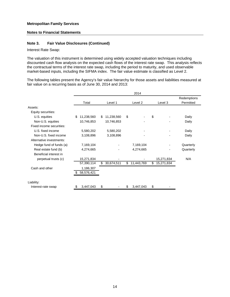#### **Notes to Financial Statements**

# **Note 3. Fair Value Disclosures (Continued)**

Interest Rate Swap:

The valuation of this instrument is determined using widely accepted valuation techniques including discounted cash flow analysis on the expected cash flows of the interest rate swap. This analysis reflects the contractual terms of the interest rate swap, including the period to maturity, and used observable market-based inputs, including the SIFMA index. The fair value estimate is classified as Level 2.

The following tables present the Agency's fair value hierarchy for those assets and liabilities measured at fair value on a recurring basis as of June 30, 2014 and 2013:

|                          |                  |                  | 2014               |                  |             |
|--------------------------|------------------|------------------|--------------------|------------------|-------------|
|                          |                  |                  |                    |                  | Redemptions |
|                          | Total            | Level 1          | Level <sub>2</sub> | Level 3          | Permitted   |
| Assets:                  |                  |                  |                    |                  |             |
| Equity securities:       |                  |                  |                    |                  |             |
| U.S. equities            | 11,238,560<br>\$ | 11,238,560<br>S  | \$                 | \$               | Daily       |
| Non-U.S. equities        | 10,746,853       | 10,746,853       |                    |                  | Daily       |
| Fixed income securities: |                  |                  |                    |                  |             |
| U.S. fixed income        | 5,580,202        | 5,580,202        |                    |                  | Daily       |
| Non-U.S. fixed income    | 3,108,896        | 3,108,896        |                    |                  | Daily       |
| Alternative investments: |                  |                  |                    |                  |             |
| Hedge fund of funds (a)  | 7,169,104        |                  | 7,169,104          |                  | Quarterly   |
| Real estate fund (b)     | 4,274,665        |                  | 4,274,665          |                  | Quarterly   |
| Beneficial interest in   |                  |                  |                    |                  |             |
| perpetual trusts (c)     | 15,271,834       |                  |                    | 15,271,834       | N/A         |
|                          | 57,390,114       | \$<br>30,674,511 | \$<br>11,443,769   | \$<br>15,271,834 |             |
| Cash and other           | 1,186,307        |                  |                    |                  |             |
|                          | 58,576,421       |                  |                    |                  |             |
| Liability:               |                  |                  |                    |                  |             |
| Interest-rate swap       | 3,447,043<br>S   | \$               | 3,447,043          | \$               |             |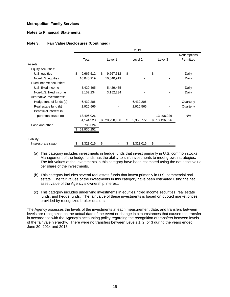#### **Notes to Financial Statements**

|                          |                  |    |            |    | 2013      |                  |             |
|--------------------------|------------------|----|------------|----|-----------|------------------|-------------|
|                          |                  |    |            |    |           |                  | Redemptions |
|                          | Total            |    | Level 1    |    | Level 2   | Level 3          | Permitted   |
| Assets:                  |                  |    |            |    |           |                  |             |
| Equity securities:       |                  |    |            |    |           |                  |             |
| U.S. equities            | \$<br>9,667,512  | \$ | 9,667,512  | \$ |           | \$               | Daily       |
| Non-U.S. equities        | 10,040,919       |    | 10,040,919 |    |           |                  | Daily       |
| Fixed income securities: |                  |    |            |    |           |                  |             |
| U.S. fixed income        | 5,429,465        |    | 5,429,465  |    |           |                  | Daily       |
| Non-U.S. fixed income    | 3,152,234        |    | 3,152,234  |    |           |                  | Daily       |
| Alternative investments: |                  |    |            |    |           |                  |             |
| Hedge fund of funds (a)  | 6,432,206        |    |            |    | 6,432,206 |                  | Quarterly   |
| Real estate fund (b)     | 2,926,566        |    |            |    | 2,926,566 |                  | Quarterly   |
| Beneficial interest in   |                  |    |            |    |           |                  |             |
| perpetual trusts (c)     | 13,496,026       |    |            |    |           | 13,496,026       | N/A         |
|                          | 51,144,928       | S  | 28,290,130 | \$ | 9,358,772 | \$<br>13,496,026 |             |
| Cash and other           | 785,324          |    |            |    |           |                  |             |
|                          | \$<br>51,930,252 |    |            |    |           |                  |             |
|                          |                  |    |            |    |           |                  |             |
| Liability:               |                  |    |            |    |           |                  |             |
| Interest-rate swap       | \$<br>3,323,016  | \$ |            | S  | 3,323,016 | \$               |             |

#### **Note 3. Fair Value Disclosures (Continued)**

- (a) This category includes investments in hedge funds that invest primarily in U.S. common stocks. Management of the hedge funds has the ability to shift investments to meet growth strategies. The fair values of the investments in this category have been estimated using the net asset value per share of the investments.
- (b) This category includes several real estate funds that invest primarily in U.S. commercial real estate. The fair values of the investments in this category have been estimated using the net asset value of the Agency's ownership interest.
- (c) This category includes underlying investments in equities, fixed income securities, real estate funds, and hedge funds. The fair value of these investments is based on quoted market prices provided by recognized broker-dealers.

The Agency assesses the levels of the investments at each measurement date, and transfers between levels are recognized on the actual date of the event or change in circumstances that caused the transfer in accordance with the Agency's accounting policy regarding the recognition of transfers between levels of the fair vale hierarchy. There were no transfers between Levels 1, 2, or 3 during the years ended June 30, 2014 and 2013.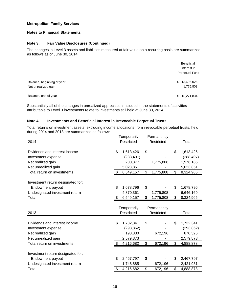#### **Notes to Financial Statements**

#### **Note 3. Fair Value Disclosures (Continued)**

The changes in Level 3 assets and liabilities measured at fair value on a recurring basis are summarized as follows as of June 30, 2014:

|                                                   | Beneficial | Interest in<br>Perpetual Fund |
|---------------------------------------------------|------------|-------------------------------|
| Balance, beginning of year<br>Net unrealized gain | \$         | 13,496,026<br>1,775,808       |
| Balance, end of year                              | \$         | 15,271,834                    |

Substantially all of the changes in unrealized appreciation included in the statements of activities attributable to Level 3 investments relate to investments still held at June 30, 2014.

#### **Note 4. Investments and Beneficial Interest in Irrevocable Perpetual Trusts**

Total returns on investment assets, excluding income allocations from irrevocable perpetual trusts, held during 2014 and 2013 are summarized as follows:

|                                         |                | Temporarily            | Permanently              |     |                        |
|-----------------------------------------|----------------|------------------------|--------------------------|-----|------------------------|
| 2014                                    |                | Restricted             | Restricted               |     | Total                  |
|                                         |                |                        |                          |     |                        |
| Dividends and interest income           | \$             | 1,613,426              | \$                       | \$  | 1,613,426              |
| Investment expense                      |                | (288, 497)             |                          |     | (288, 497)             |
| Net realized gain                       |                | 200,377                | 1,775,808                |     | 1,976,185              |
| Net unrealized gain                     |                | 5,023,851              |                          |     | 5,023,851              |
| Total return on investments             | \$             | 6,549,157              | \$<br>1,775,808          | \$  | 8,324,965              |
| Investment return designated for:       |                |                        |                          |     |                        |
| Endowment payout                        | \$             | 1,678,796              | \$                       | \$. | 1,678,796              |
| Undesignated investment return          |                | 4,870,361              | 1,775,808                |     | 6,646,169              |
| Total                                   | \$             | 6,549,157              | \$<br>1,775,808          | \$  | 8,324,965              |
|                                         |                |                        |                          |     |                        |
|                                         |                | Temporarily            | Permanently              |     |                        |
| 2013                                    |                | Restricted             | Restricted               |     | Total                  |
| Dividends and interest income           | \$             | 1,732,341              | \$                       | \$  | 1,732,341              |
| Investment expense                      |                | (293, 862)             |                          |     | (293, 862)             |
| Net realized gain                       |                | 198,330                | 672,196                  |     | 870,526                |
| Net unrealized gain                     |                | 2,579,873              |                          |     | 2,579,873              |
|                                         |                |                        |                          |     |                        |
| Total return on investments             | $\mathfrak{S}$ | 4,216,682              | \$<br>672,196            | \$  | 4,888,878              |
|                                         |                |                        |                          |     |                        |
| Investment return designated for:       |                |                        |                          |     |                        |
| Endowment payout                        | \$             | 2,467,797              | \$                       | \$  | 2,467,797              |
| Undesignated investment return<br>Total | \$             | 1,748,885<br>4,216,682 | \$<br>672,196<br>672,196 | \$  | 2,421,081<br>4,888,878 |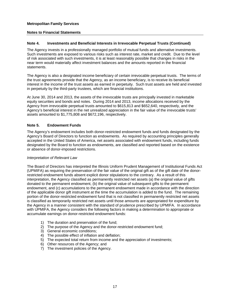# **Notes to Financial Statements**

# **Note 4. Investments and Beneficial Interests in Irrevocable Perpetual Trusts (Continued)**

The Agency invests in a professionally managed portfolio of mutual funds and alternative investments. Such investments are exposed to various risks such as interest rate, market and credit. Due to the level of risk associated with such investments, it is at least reasonably possible that changes in risks in the near term would materially affect investment balances and the amounts reported in the financial statements.

The Agency is also a designated income beneficiary of certain irrevocable perpetual trusts. The terms of the trust agreements provide that the Agency, as an income beneficiary, is to receive its beneficial interest in the income of the trust assets as earned in perpetuity. Such trust assets are held and invested in perpetuity by the third-party trustees, which are financial institutions.

At June 30, 2014 and 2013, the assets of the irrevocable trusts are principally invested in marketable equity securities and bonds and notes. During 2014 and 2013, income allocations received by the Agency from irrevocable perpetual trusts amounted to \$615,813 and \$652,640, respectively, and the Agency's beneficial interest in the net unrealized appreciation in the fair value of the irrevocable trusts' assets amounted to \$1,775,808 and \$672,196, respectively.

# **Note 5. Endowment Funds**

The Agency's endowment includes both donor-restricted endowment funds and funds designated by the Agency's Board of Directors to function as endowments. As required by accounting principles generally accepted in the United States of America, net assets associated with endowment funds, including funds designated by the Board to function as endowments, are classified and reported based on the existence or absence of donor-imposed restrictions.

#### *Interpretation of Relevant Law*

The Board of Directors has interpreted the Illinois Uniform Prudent Management of Institutional Funds Act (UPMIFA) as requiring the preservation of the fair value of the original gift as of the gift date of the donorrestricted endowment funds absent explicit donor stipulations to the contrary. As a result of this interpretation, the Agency classified as permanently restricted net assets (a) the original value of gifts donated to the permanent endowment, (b) the original value of subsequent gifts to the permanent endowment, and (c) accumulations to the permanent endowment made in accordance with the direction of the applicable donor gift instrument at the time the accumulation is added to the fund. The remaining portion of the donor-restricted endowment fund that is not classified in permanently restricted net assets is classified as temporarily restricted net assets until those amounts are appropriated for expenditure by the Agency in a manner consistent with the standard of prudence prescribed by UPMIFA. In accordance with UPMIFA, the Agency considers the following factors in making a determination to appropriate or accumulate earnings on donor-restricted endowment funds:

- 1) The duration and preservation of the fund;
- 2) The purpose of the Agency and the donor-restricted endowment fund;
- 3) General economic conditions;
- 4) The possible effect of inflation and deflation;
- 5) The expected total return from income and the appreciation of investments;
- 6) Other resources of the Agency; and
- 7) The investment policies of the Agency.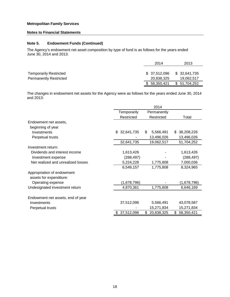#### **Notes to Financial Statements**

# **Note 5. Endowment Funds (Continued)**

The Agency's endowment net asset composition by type of fund is as follows for the years ended June 30, 2014 and 2013:

|                               | 2014          | 2013          |
|-------------------------------|---------------|---------------|
| <b>Temporarily Restricted</b> | \$ 37,512,096 | \$ 32,641,735 |
| <b>Permanently Restricted</b> | 20,838,325    | 19,062,517    |
|                               | \$58,350,421  | \$ 51,704,252 |

The changes in endowment net assets for the Agency were as follows for the years ended June 30, 2014 and 2013:

|                                    |                  | 2014             |                   |  |  |  |
|------------------------------------|------------------|------------------|-------------------|--|--|--|
|                                    | Temporarily      | Permanently      |                   |  |  |  |
|                                    | Restricted       | Restricted       | Total             |  |  |  |
| Endowment net assets,              |                  |                  |                   |  |  |  |
| beginning of year                  |                  |                  |                   |  |  |  |
| Investments                        | 32,641,735<br>\$ | 5,566,491<br>\$  | 38,208,226<br>\$. |  |  |  |
| Perpetual trusts                   |                  | 13,496,026       | 13,496,026        |  |  |  |
|                                    | 32,641,735       | 19,062,517       | 51,704,252        |  |  |  |
| Investment return:                 |                  |                  |                   |  |  |  |
| Dividends and interest income      | 1,613,426        |                  | 1,613,426         |  |  |  |
| Investment expense                 | (288, 497)       |                  | (288, 497)        |  |  |  |
| Net realized and unrealized losses | 5,224,228        | 1,775,808        | 7,000,036         |  |  |  |
|                                    | 6,549,157        | 1,775,808        | 8,324,965         |  |  |  |
| Appropriation of endowment         |                  |                  |                   |  |  |  |
| assets for expenditure:            |                  |                  |                   |  |  |  |
| Operating expense                  | (1,678,796)      |                  | (1,678,796)       |  |  |  |
| Undesignated investment return     | 4,870,361        | 1,775,808        | 6,646,169         |  |  |  |
|                                    |                  |                  |                   |  |  |  |
| Endowment net assets, end of year  |                  |                  |                   |  |  |  |
| Investments                        | 37,512,096       | 5,566,491        | 43,078,587        |  |  |  |
| Perpetual trusts                   |                  | 15,271,834       | 15,271,834        |  |  |  |
|                                    | 37,512,096       | \$<br>20,838,325 | 58,350,421<br>\$  |  |  |  |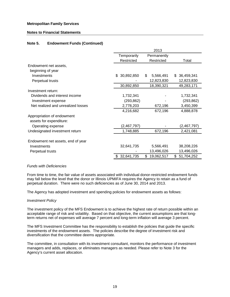### **Notes to Financial Statements**

# **Note 5. Endowment Funds (Continued)**

|                                                       | 2013             |                  |                   |  |  |  |
|-------------------------------------------------------|------------------|------------------|-------------------|--|--|--|
|                                                       | Temporarily      | Permanently      |                   |  |  |  |
|                                                       | Restricted       | Restricted       | Total             |  |  |  |
| Endowment net assets,                                 |                  |                  |                   |  |  |  |
| beginning of year                                     |                  |                  |                   |  |  |  |
| Investments                                           | \$<br>30,892,850 | \$<br>5,566,491  | 36,459,341<br>\$. |  |  |  |
| Perpetual trusts                                      |                  | 12,823,830       | 12,823,830        |  |  |  |
|                                                       | 30,892,850       | 18,390,321       | 49,283,171        |  |  |  |
| Investment return:                                    |                  |                  |                   |  |  |  |
| Dividends and interest income                         | 1,732,341        |                  | 1,732,341         |  |  |  |
| Investment expense                                    | (293, 862)       |                  | (293, 862)        |  |  |  |
| Net realized and unrealized losses                    | 2,778,203        | 672,196          | 3,450,399         |  |  |  |
|                                                       | 4,216,682        | 672,196          | 4,888,878         |  |  |  |
| Appropriation of endowment<br>assets for expenditure: |                  |                  |                   |  |  |  |
| Operating expense                                     | (2,467,797)      |                  | (2,467,797)       |  |  |  |
| Undesignated investment return                        | 1,748,885        | 672,196          | 2,421,081         |  |  |  |
| Endowment net assets, end of year                     |                  |                  |                   |  |  |  |
| Investments                                           | 32,641,735       | 5,566,491        | 38,208,226        |  |  |  |
| Perpetual trusts                                      |                  | 13,496,026       | 13,496,026        |  |  |  |
|                                                       | 32,641,735<br>\$ | \$<br>19,062,517 | \$<br>51,704,252  |  |  |  |

#### *Funds with Deficiencies*

From time to time, the fair value of assets associated with individual donor-restricted endowment funds may fall below the level that the donor or Illinois UPMIFA requires the Agency to retain as a fund of perpetual duration. There were no such deficiencies as of June 30, 2014 and 2013.

The Agency has adopted investment and spending policies for endowment assets as follows:

#### *Investment Policy*

The investment policy of the MFS Endowment is to achieve the highest rate of return possible within an acceptable range of risk and volatility. Based on that objective, the current assumptions are that longterm returns net of expenses will average 7 percent and long-term inflation will average 3 percent.

The MFS Investment Committee has the responsibility to establish the policies that guide the specific investments of the endowment assets. The policies describe the degree of investment risk and diversification that the committee deems appropriate.

The committee, in consultation with its investment consultant, monitors the performance of investment managers and adds, replaces, or eliminates managers as needed. Please refer to Note 3 for the Agency's current asset allocation.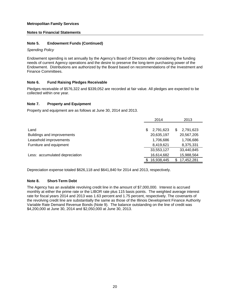# **Notes to Financial Statements**

# **Note 5. Endowment Funds (Continued)**

#### *Spending Policy*

Endowment spending is set annually by the Agency's Board of Directors after considering the funding needs of current Agency operations and the desire to preserve the long-term purchasing power of the Endowment. Distributions are authorized by the Board based on recommendations of the Investment and Finance Committees.

# **Note 6. Fund Raising Pledges Receivable**

Pledges receivable of \$576,322 and \$339,052 are recorded at fair value. All pledges are expected to be collected within one year.

# **Note 7. Property and Equipment**

Property and equipment are as follows at June 30, 2014 and 2013.

|                                | 2014            | 2013             |
|--------------------------------|-----------------|------------------|
|                                |                 |                  |
| Land                           | 2,791,623<br>S  | 2,791,623<br>S.  |
| Buildings and improvements     | 20,635,197      | 20,567,205       |
| Leasehold improvements         | 1,706,686       | 1,706,686        |
| Furniture and equipment        | 8,419,621       | 8,375,331        |
|                                | 33,553,127      | 33,440,845       |
| Less: accumulated depreciation | 16,614,682      | 15,988,564       |
|                                | 16,938,445<br>S | 17,452,281<br>S. |

Depreciation expense totaled \$626,118 and \$641,840 for 2014 and 2013, respectively.

#### **Note 8. Short-Term Debt**

The Agency has an available revolving credit line in the amount of \$7,000,000. Interest is accrued monthly at either the prime rate or the LIBOR rate plus 115 basis points. The weighted average interest rate for fiscal years 2014 and 2013 was 1.63 percent and 1.75 percent, respectively. The covenants of the revolving credit line are substantially the same as those of the Illinois Development Finance Authority Variable Rate Demand Revenue Bonds (Note 9). The balance outstanding on the line of credit was \$4,200,000 at June 30, 2014 and \$2,050,000 at June 30, 2013.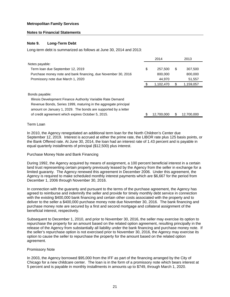# **Notes to Financial Statements**

# **Note 9. Long-Term Debt**

Long-term debt is summarized as follows at June 30, 2014 and 2013:

|                                                                 | 2014          |   | 2013       |
|-----------------------------------------------------------------|---------------|---|------------|
| Notes payable:                                                  |               |   |            |
| Term Ioan due September 12, 2019                                | \$<br>257,500 | S | 307,500    |
| Purchase money note and bank financing, due November 30, 2016   | 800,000       |   | 800,000    |
| Promissory note due March 1, 2020                               | 44,970        |   | 51,557     |
|                                                                 | 1,102,470     |   | 1,159,057  |
|                                                                 |               |   |            |
| Bonds payable:                                                  |               |   |            |
| Illinois Development Finance Authority Variable Rate Demand     |               |   |            |
| Revenue Bonds, Series 1999, maturing in the aggregate principal |               |   |            |
| amount on January 1, 2029. The bonds are supported by a letter  |               |   |            |
| of credit agreement which expires October 5, 2015.              | 12.700.000    |   | 12.700.000 |

#### Term Loan

In 2010, the Agency renegotiated an additional term loan for the North Children's Center due September 12, 2019. Interest is accrued at either the prime rate, the LIBOR rate plus 125 basis points, or the Bank Offered rate. At June 30, 2014, the loan had an interest rate of 1.43 percent and is payable in equal quarterly installments of principal (\$12,500) plus interest.

#### Purchase Money Note and Bank Financing

During 1992, the Agency acquired by means of assignment, a 100 percent beneficial interest in a certain land trust representing certain property previously leased by the Agency from the seller in exchange for a limited guaranty. The Agency renewed this agreement in December 2006. Under this agreement, the Agency is required to make scheduled monthly interest payments which are \$6,667 for the period from December 1, 2006 through November 30, 2016.

In connection with the guaranty and pursuant to the terms of the purchase agreement, the Agency has agreed to reimburse and indemnify the seller and provide for timely monthly debt service in connection with the existing \$400,000 bank financing and certain other costs associated with the property and to deliver to the seller a \$400,000 purchase money note due November 30, 2016. The bank financing and purchase money note are secured by a first and second mortgage and collateral assignment of the beneficial interest, respectively.

Subsequent to December 1, 2010, and prior to November 30, 2016, the seller may exercise its option to repurchase the property for an amount based on the related option agreement, resulting principally in the release of the Agency from substantially all liability under the bank financing and purchase money note. If the seller's repurchase option is not exercised prior to November 30, 2016, the Agency may exercise its option to cause the seller to repurchase the property for the amount based on the related option agreement.

#### Promissory Note

In 2003, the Agency borrowed \$95,000 from the IFF as part of the financing arranged by the City of Chicago for a new childcare center. The loan is in the form of a promissory note which bears interest at 5 percent and is payable in monthly installments in amounts up to \$749, through March 1, 2020.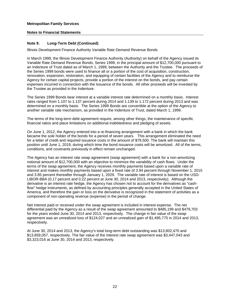# **Notes to Financial Statements**

# **Note 9. Long-Term Debt (Continued)**

Illinois Development Finance Authority Variable Rate Demand Revenue Bonds

In March 1999, the Illinois Development Finance Authority (Authority) on behalf of the Agency issued its Variable Rate Demand Revenue Bonds, Series 1999, in the principal amount of \$12,700,000 pursuant to an Indenture of Trust dated as of March 1, 1999, between the Authority and the Trustee. The proceeds of the Series 1999 bonds were used to finance all or a portion of the cost of acquisition, construction, renovation, expansion, restoration, and equipping of certain facilities of the Agency and to reimburse the Agency for certain capital projects, provide a portion of the interest on the bonds, and pay certain expenses incurred in connection with the Issuance of the bonds. All other proceeds will be invested by the Trustee as provided in the Indenture.

The Series 1999 Bonds bear interest at a variable interest rate determined on a monthly basis. Interest rates ranged from 1.107 to 1.137 percent during 2014 and 1.139 to 1.172 percent during 2013 and was determined on a monthly basis. The Series 1999 Bonds are convertible at the option of the Agency to another variable rate mechanism, as provided in the Indenture of Trust, dated March 1, 1999.

The terms of the long-term debt agreement require, among other things, the maintenance of specific financial ratios and place limitations on additional indebtedness and pledging of assets.

On June 1, 2012, the Agency entered into a re-financing arrangement with a bank in which the bank became the sole holder of the bonds for a period of seven years. This arrangement eliminated the need for a letter of credit and required issuance costs in the amount of \$79,500. The bank will maintain this position until June 1, 2019, during which time the bond issuance costs will be amortized. All of the terms, conditions, and covenants previously in effect remain unchanged.

The Agency has an interest rate swap agreement (swap agreement) with a bank for a non-amortizing notional amount of \$12,700,000 with an objective to minimize the variability of cash flows. Under the terms of the swap agreement, the Agency receives monthly payments based upon a variable rate of interest and makes monthly payments based upon a fixed rate of 3.94 percent through November 1, 2015 and 3.85 percent thereafter through January 1, 2029. The variable rate of interest is based on the USD-LIBOR-BBA (0.17 percent and 0.22 percent at June 30, 2014 and 2013, respectively). Although the derivative is an interest rate hedge, the Agency has chosen not to account for the derivatives as "cashflow" hedge instruments, as defined by accounting principles generally accepted in the United States of America, and therefore the gain or loss on the derivative is recognized in the statement of activities as a component of non-operating revenue (expense) in the period of change.

Net interest paid or received under the swap agreement is included in interest expense. The net differential paid by the Agency as a result of the swap agreement amounted to \$485,199 and \$479,703 for the years ended June 30, 2014 and 2013, respectively. The change in fair value of the swap agreement was an unrealized loss of \$124,027 and an unrealized gain of \$1,495,775 in 2014 and 2013, respectively.

At June 30, 2014 and 2013, the Agency's total long-term debt outstanding was \$13,802,470 and \$13,859,057, respectively. The fair value of the interest rate swap agreement was \$3,447,043 and \$3,323,016 at June 30, 2014 and 2013, respectively.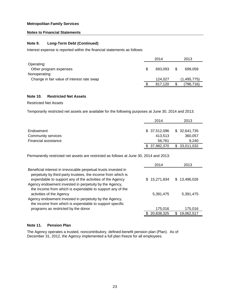# **Notes to Financial Statements**

# **Note 9. Long-Term Debt (Continued)**

Interest expense is reported within the financial statements as follows:

|                                            | 2014    |   | 2013        |
|--------------------------------------------|---------|---|-------------|
| Operating:                                 |         |   |             |
| Other program expenses                     | 693.093 | S | 699.059     |
| Nonoperating:                              |         |   |             |
| Change in fair value of interest rate swap | 124.027 |   | (1,495,775) |
|                                            | 817.120 |   | (796, 716)  |

# **Note 10. Restricted Net Assets**

Restricted Net Assets

Temporarily restricted net assets are available for the following purposes at June 30, 2014 and 2013:

|                      | 2014          | 2013         |
|----------------------|---------------|--------------|
|                      |               |              |
| Endowment            | \$37,512,096  | \$32,641,735 |
| Community services   | 413.513       | 360,057      |
| Financial assistance | 56.761        | 9,240        |
|                      | \$ 37,982,370 | \$33,011,032 |

Permanently restricted net assets are restricted as follows at June 30, 2014 and 2013:

|                                                                                                                                                                                              | 2014         | 2013         |
|----------------------------------------------------------------------------------------------------------------------------------------------------------------------------------------------|--------------|--------------|
| Beneficial interest in irrevocable perpetual trusts invested in<br>perpetuity by third-party trustees, the income from which is<br>expendable to support any of the activities of the Agency | \$15,271,834 | \$13,496,026 |
| Agency endowment invested in perpetuity by the Agency,<br>the income from which is expendable to support any of the                                                                          |              |              |
| activities of the Agency                                                                                                                                                                     | 5,391,475    | 5,391,475    |
| Agency endowment invested in perpetuity by the Agency,<br>the income from which is expendable to support specific                                                                            |              |              |
| programs as restricted by the donor                                                                                                                                                          | 175,016      | 175,016      |
|                                                                                                                                                                                              | 20,838,325   | 19,062,517   |

# **Note 11. Pension Plan**

The Agency operates a trusted, noncontributory, defined-benefit pension plan (Plan). As of December 31, 2012, the Agency implemented a full plan freeze for all employees.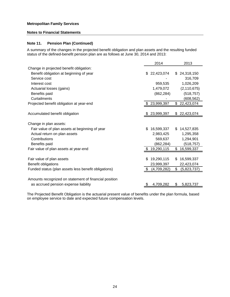### **Notes to Financial Statements**

# **Note 11. Pension Plan (Continued)**

A summary of the changes in the projected benefit obligation and plan assets and the resulting funded status of the defined-benefit pension plan are as follows at June 30, 2014 and 2013:

|                                                       | 2014             | 2013              |
|-------------------------------------------------------|------------------|-------------------|
| Change in projected benefit obligation:               |                  |                   |
| Benefit obligation at beginning of year               | 22,423,074<br>\$ | \$24,318,150      |
| Service cost                                          |                  | 316,709           |
| Interest cost                                         | 959,535          | 1,026,209         |
| Actuarial losses (gains)                              | 1,479,072        | (2, 110, 675)     |
| Benefits paid                                         | (862, 284)       | (518, 757)        |
| Curtailments                                          |                  | (608,562)         |
| Projected benefit obligation at year-end              | \$23,999,397     | \$22,423,074      |
|                                                       |                  |                   |
| Accumulated benefit obligation                        | 23,999,397<br>P. | \$22,423,074      |
|                                                       |                  |                   |
| Change in plan assets:                                |                  |                   |
| Fair value of plan assets at beginning of year        | 16,599,337<br>\$ | 14,527,835<br>\$  |
| Actual return on plan assets                          | 2,983,425        | 1,295,358         |
| Contributions                                         | 569,637          | 1,294,901         |
| Benefits paid                                         | (862, 284)       | (518, 757)        |
| Fair value of plan assets at year-end                 | 19,290,115       | \$<br>16,599,337  |
|                                                       |                  |                   |
| Fair value of plan assets                             | 19,290,115<br>\$ | 16,599,337<br>\$  |
| Benefit obligations                                   | 23,999,397       | 22,423,074        |
| Funded status (plan assets less benefit obligations)  | (4,709,282)      | \$<br>(5,823,737) |
|                                                       |                  |                   |
| Amounts recognized on statement of financial position |                  |                   |
| as accrued pension expense liability                  | 4,709,282        | 5,823,737<br>S.   |

The Projected Benefit Obligation is the actuarial present value of benefits under the plan formula, based on employee service to date and expected future compensation levels.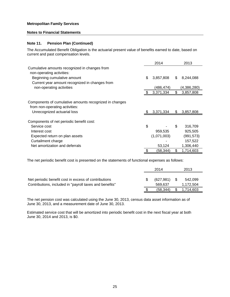### **Notes to Financial Statements**

# **Note 11. Pension Plan (Continued)**

The Accumulated Benefit Obligation is the actuarial present value of benefits earned to date, based on current and past compensation levels.

|                                                                            |     | 2014        |     | 2013        |
|----------------------------------------------------------------------------|-----|-------------|-----|-------------|
| Cumulative amounts recognized in changes from<br>non-operating activities: |     |             |     |             |
| Beginning cumulative amount                                                | \$  | 3,857,808   | \$. | 8,244,088   |
| Current year amount recognized in changes from                             |     |             |     |             |
| non-operating activities                                                   |     | (486,474)   |     | (4,386,280) |
|                                                                            | \$. | 3,371,334   | \$  | 3,857,808   |
|                                                                            |     |             |     |             |
| Components of cumulative amounts recognized in changes                     |     |             |     |             |
| from non-operating activities:                                             |     |             |     |             |
| Unrecognized actuarial loss                                                |     | 3,371,334   | S   | 3,857,808   |
| Components of net periodic benefit cost:                                   |     |             |     |             |
| Service cost                                                               | \$  |             | \$  | 316,709     |
| Interest cost                                                              |     | 959,535     |     | 925,505     |
| Expected return on plan assets                                             |     | (1,071,003) |     | (991, 573)  |
| Curtailment charge                                                         |     |             |     | 157,522     |
| Net amortization and deferrals                                             |     | 53,124      |     | 1,306,440   |
|                                                                            |     | (58,344)    | \$  | 1,714,603   |

The net periodic benefit cost is presented on the statements of functional expenses as follows:

|                                                                                                                 | 2014                 |     | 2013                 |
|-----------------------------------------------------------------------------------------------------------------|----------------------|-----|----------------------|
| Net periodic benefit cost in excess of contributions<br>Contributions, included in "payroll taxes and benefits" | (627.981)<br>569.637 | \$. | 542.099<br>1,172,504 |
|                                                                                                                 | (58,344)             |     | 14,603               |

The net pension cost was calculated using the June 30, 2013, census data asset information as of June 30, 2013, and a measurement date of June 30, 2013.

Estimated service cost that will be amortized into periodic benefit cost in the next fiscal year at both June 30, 2014 and 2013, is \$0.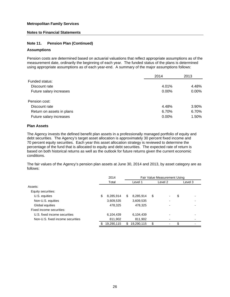#### **Notes to Financial Statements**

# **Note 11. Pension Plan (Continued)**

# **Assumptions**

Pension costs are determined based on actuarial valuations that reflect appropriate assumptions as of the measurement date, ordinarily the beginning of each year. The funded status of the plans is determined using appropriate assumptions as of each year-end. A summary of the major assumptions follows:

|                           | 2014     | 2013     |  |
|---------------------------|----------|----------|--|
| Funded status:            |          |          |  |
| Discount rate             | 4.01%    | 4.48%    |  |
| Future salary increases   | 0.00%    | $0.00\%$ |  |
| Pension cost:             |          |          |  |
| Discount rate             | 4.48%    | 3.90%    |  |
| Return on assets in plans | 6.70%    | 6.70%    |  |
| Future salary increases   | $0.00\%$ | 1.50%    |  |

#### **Plan Assets**

The Agency invests the defined benefit plan assets in a professionally managed portfolio of equity and debt securities. The Agency's target asset allocation is approximately 30 percent fixed income and 70 percent equity securities. Each year this asset allocation strategy is reviewed to determine the percentage of the fund that is allocated to equity and debt securities. The expected rate of return is based on both historical returns as well as the outlook for future returns given the current economic conditions.

The fair values of the Agency's pension plan assets at June 30, 2014 and 2013, by asset category are as follows:

|                                  | 2014            |   | Fair Value Measurement Using |    |                          |    |         |
|----------------------------------|-----------------|---|------------------------------|----|--------------------------|----|---------|
|                                  | Total           |   | Level 1                      |    | Level 2                  |    | Level 3 |
| Assets:                          |                 |   |                              |    |                          |    |         |
| Equity securities:               |                 |   |                              |    |                          |    |         |
| U.S. equities                    | \$<br>8,285,914 | S | 8,285,914                    | \$ |                          | \$ |         |
| Non-U.S. equities                | 3,609,535       |   | 3,609,535                    |    | $\overline{\phantom{0}}$ |    |         |
| Global equities                  | 478,325         |   | 478.325                      |    |                          |    |         |
| Fixed income securities:         |                 |   |                              |    |                          |    |         |
| U.S. fixed income securities     | 6,104,439       |   | 6,104,439                    |    | $\blacksquare$           |    |         |
| Non-U.S. fixed income securities | 811,902         |   | 811,902                      |    |                          |    |         |
|                                  | 19,290,115      |   | 19,290,115                   | \$ |                          |    |         |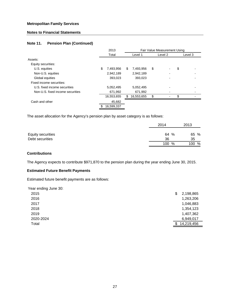#### **Notes to Financial Statements**

# **Note 11. Pension Plan (Continued)**

|                                  | 2013            | Fair Value Measurement Using |            |    |         |    |         |
|----------------------------------|-----------------|------------------------------|------------|----|---------|----|---------|
|                                  | Total           |                              | Level 1    |    | Level 2 |    | Level 3 |
| Assets:                          |                 |                              |            |    |         |    |         |
| Equity securities:               |                 |                              |            |    |         |    |         |
| U.S. equities                    | \$<br>7,493,956 | \$                           | 7,493,956  | \$ |         | \$ |         |
| Non-U.S. equities                | 2,942,189       |                              | 2,942,189  |    |         |    |         |
| Global equities                  | 393,023         |                              | 393,023    |    |         |    |         |
| Fixed income securities:         |                 |                              |            |    |         |    |         |
| U.S. fixed income securities     | 5,052,495       |                              | 5,052,495  |    |         |    |         |
| Non-U.S. fixed income securities | 671,992         |                              | 671,992    |    |         |    |         |
|                                  | 16,553,655      | \$                           | 16,553,655 | \$ |         | \$ |         |
| Cash and other                   | 45,682          |                              |            |    |         |    |         |
|                                  | 16,599,337      |                              |            |    |         |    |         |

The asset allocation for the Agency's pension plan by asset category is as follows:

|                   | 2014 | 2013          |
|-------------------|------|---------------|
| Equity securities | 64   | 65 %<br>%     |
| Debt securities   | 36   | 35            |
|                   | 100  | %<br>%<br>100 |

# **Contributions**

The Agency expects to contribute \$971,870 to the pension plan during the year ending June 30, 2015.

# **Estimated Future Benefit Payments**

Estimated future benefit payments are as follows:

| Year ending June 30: |                  |
|----------------------|------------------|
| 2015                 | 2,198,865<br>\$  |
| 2016                 | 1,263,206        |
| 2017                 | 1,046,883        |
| 2018                 | 1,354,123        |
| 2019                 | 1,407,362        |
| 2020-2024            | 6,949,017        |
| Total                | 14,219,456<br>\$ |